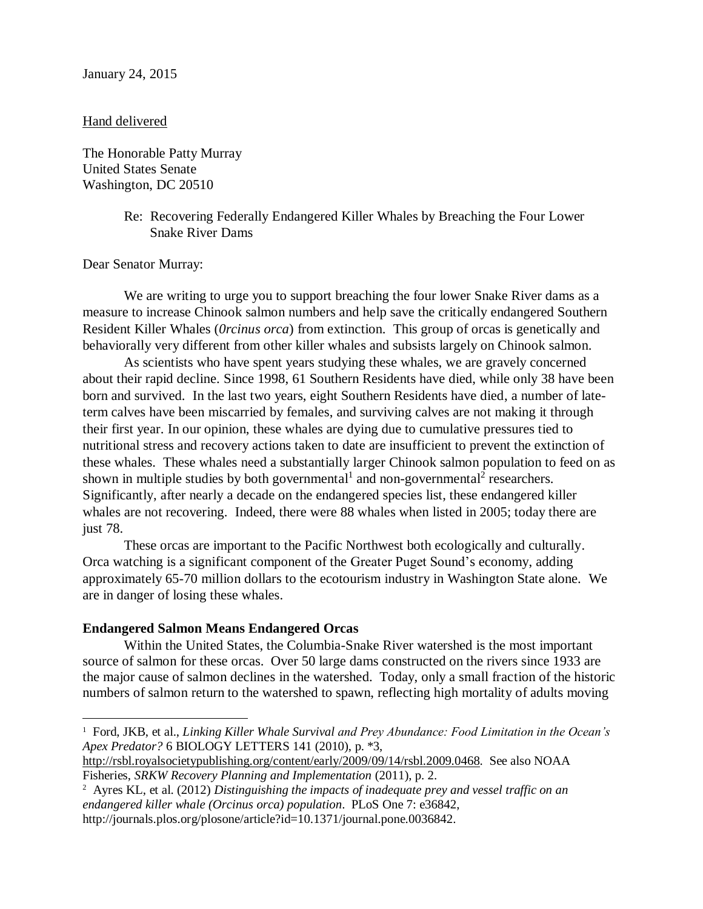## Hand delivered

The Honorable Patty Murray United States Senate Washington, DC 20510

> Re: Recovering Federally Endangered Killer Whales by Breaching the Four Lower Snake River Dams

Dear Senator Murray:

 $\overline{a}$ 

We are writing to urge you to support breaching the four lower Snake River dams as a measure to increase Chinook salmon numbers and help save the critically endangered Southern Resident Killer Whales (*0rcinus orca*) from extinction. This group of orcas is genetically and behaviorally very different from other killer whales and subsists largely on Chinook salmon.

As scientists who have spent years studying these whales, we are gravely concerned about their rapid decline. Since 1998, 61 Southern Residents have died, while only 38 have been born and survived. In the last two years, eight Southern Residents have died, a number of lateterm calves have been miscarried by females, and surviving calves are not making it through their first year. In our opinion, these whales are dying due to cumulative pressures tied to nutritional stress and recovery actions taken to date are insufficient to prevent the extinction of these whales. These whales need a substantially larger Chinook salmon population to feed on as shown in multiple studies by both governmental<sup>1</sup> and non-governmental<sup>2</sup> researchers. Significantly, after nearly a decade on the endangered species list, these endangered killer whales are not recovering. Indeed, there were 88 whales when listed in 2005; today there are just 78.

These orcas are important to the Pacific Northwest both ecologically and culturally. Orca watching is a significant component of the Greater Puget Sound's economy, adding approximately 65-70 million dollars to the ecotourism industry in Washington State alone. We are in danger of losing these whales.

## **Endangered Salmon Means Endangered Orcas**

Within the United States, the Columbia-Snake River watershed is the most important source of salmon for these orcas. Over 50 large dams constructed on the rivers since 1933 are the major cause of salmon declines in the watershed. Today, only a small fraction of the historic numbers of salmon return to the watershed to spawn, reflecting high mortality of adults moving

[http://rsbl.royalsocietypublishing.org/content/early/2009/09/14/rsbl.2009.0468.](http://rsbl.royalsocietypublishing.org/content/early/2009/09/14/rsbl.2009.0468) See also NOAA Fisheries, *SRKW Recovery Planning and Implementation* (2011), p. 2.

<sup>&</sup>lt;sup>1</sup> Ford, JKB, et al., *Linking Killer Whale Survival and Prey Abundance: Food Limitation in the Ocean's Apex Predator?* 6 BIOLOGY LETTERS 141 (2010), p. \*3,

<sup>2</sup> Ayres KL, et al. (2012) *Distinguishing the impacts of inadequate prey and vessel traffic on an endangered killer whale (Orcinus orca) population*. PLoS One 7: e36842, http://journals.plos.org/plosone/article?id=10.1371/journal.pone.0036842.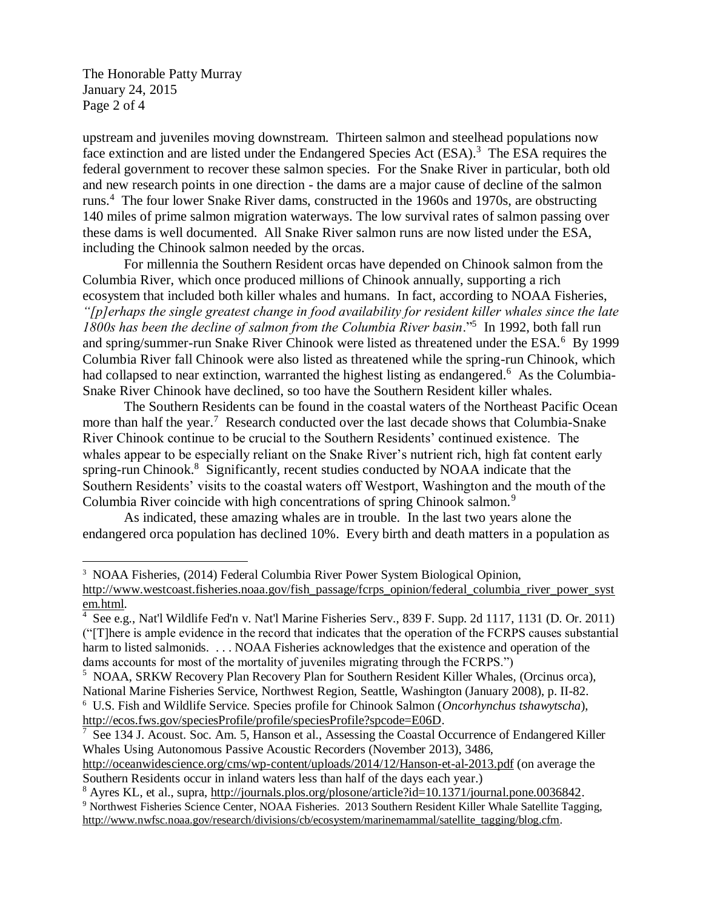The Honorable Patty Murray January 24, 2015 Page 2 of 4

 $\overline{a}$ 

upstream and juveniles moving downstream. Thirteen salmon and steelhead populations now face extinction and are listed under the Endangered Species Act (ESA).<sup>3</sup> The ESA requires the federal government to recover these salmon species. For the Snake River in particular, both old and new research points in one direction - the dams are a major cause of decline of the salmon runs.<sup>4</sup> The four lower Snake River dams, constructed in the 1960s and 1970s, are obstructing 140 miles of prime salmon migration waterways. The low survival rates of salmon passing over these dams is well documented. All Snake River salmon runs are now listed under the ESA, including the Chinook salmon needed by the orcas.

For millennia the Southern Resident orcas have depended on Chinook salmon from the Columbia River, which once produced millions of Chinook annually, supporting a rich ecosystem that included both killer whales and humans. In fact, according to NOAA Fisheries, *"[p]erhaps the single greatest change in food availability for resident killer whales since the late 1800s has been the decline of salmon from the Columbia River basin*."<sup>5</sup> In 1992, both fall run and spring/summer-run Snake River Chinook were listed as threatened under the ESA.<sup>6</sup> By 1999 Columbia River fall Chinook were also listed as threatened while the spring-run Chinook, which had collapsed to near extinction, warranted the highest listing as endangered.<sup>6</sup> As the Columbia-Snake River Chinook have declined, so too have the Southern Resident killer whales.

The Southern Residents can be found in the coastal waters of the Northeast Pacific Ocean more than half the year.<sup>7</sup> Research conducted over the last decade shows that Columbia-Snake River Chinook continue to be crucial to the Southern Residents' continued existence. The whales appear to be especially reliant on the Snake River's nutrient rich, high fat content early spring-run Chinook.<sup>8</sup> Significantly, recent studies conducted by NOAA indicate that the Southern Residents' visits to the coastal waters off Westport, Washington and the mouth of the Columbia River coincide with high concentrations of spring Chinook salmon.<sup>9</sup>

As indicated, these amazing whales are in trouble. In the last two years alone the endangered orca population has declined 10%. Every birth and death matters in a population as

<sup>&</sup>lt;sup>3</sup> NOAA Fisheries, (2014) Federal Columbia River Power System Biological Opinion,

[http://www.westcoast.fisheries.noaa.gov/fish\\_passage/fcrps\\_opinion/federal\\_columbia\\_river\\_power\\_syst](http://www.westcoast.fisheries.noaa.gov/fish_passage/fcrps_opinion/federal_columbia_river_power_system.html) [em.html.](http://www.westcoast.fisheries.noaa.gov/fish_passage/fcrps_opinion/federal_columbia_river_power_system.html)

<sup>4</sup> See e.g., Nat'l Wildlife Fed'n v. Nat'l Marine Fisheries Serv., 839 F. Supp. 2d 1117, 1131 (D. Or. 2011) ("[T]here is ample evidence in the record that indicates that the operation of the FCRPS causes substantial harm to listed salmonids. . . . NOAA Fisheries acknowledges that the existence and operation of the dams accounts for most of the mortality of juveniles migrating through the FCRPS.")

<sup>&</sup>lt;sup>5</sup> NOAA, SRKW Recovery Plan Recovery Plan for Southern Resident Killer Whales, (Orcinus orca), National Marine Fisheries Service, Northwest Region, Seattle, Washington (January 2008), p. II-82. 6 U.S. Fish and Wildlife Service. Species profile for Chinook Salmon (*Oncorhynchus tshawytscha*),

[http://ecos.fws.gov/speciesProfile/profile/speciesProfile?spcode=E06D.](http://ecos.fws.gov/speciesProfile/profile/speciesProfile?spcode=E06D)<br><sup>7</sup> See 134 J. Acoust. Soc. Am. 5, Hanson et al., Assessing the Coastal Occurrence of Endangered Killer Whales Using Autonomous Passive Acoustic Recorders (November 2013), 3486,

<http://oceanwidescience.org/cms/wp-content/uploads/2014/12/Hanson-et-al-2013.pdf> (on average the Southern Residents occur in inland waters less than half of the days each year.)

<sup>&</sup>lt;sup>8</sup> Ayres KL, et al., supra, [http://journals.plos.org/plosone/article?id=10.1371/journal.pone.0036842.](http://journals.plos.org/plosone/article?id=10.1371/journal.pone.0036842) <sup>9</sup> Northwest Fisheries Science Center, NOAA Fisheries. 2013 Southern Resident Killer Whale Satellite Tagging, [http://www.nwfsc.noaa.gov/research/divisions/cb/ecosystem/marinemammal/satellite\\_tagging/blog.cfm.](http://www.nwfsc.noaa.gov/research/divisions/cb/ecosystem/marinemammal/satellite_tagging/blog.cfm)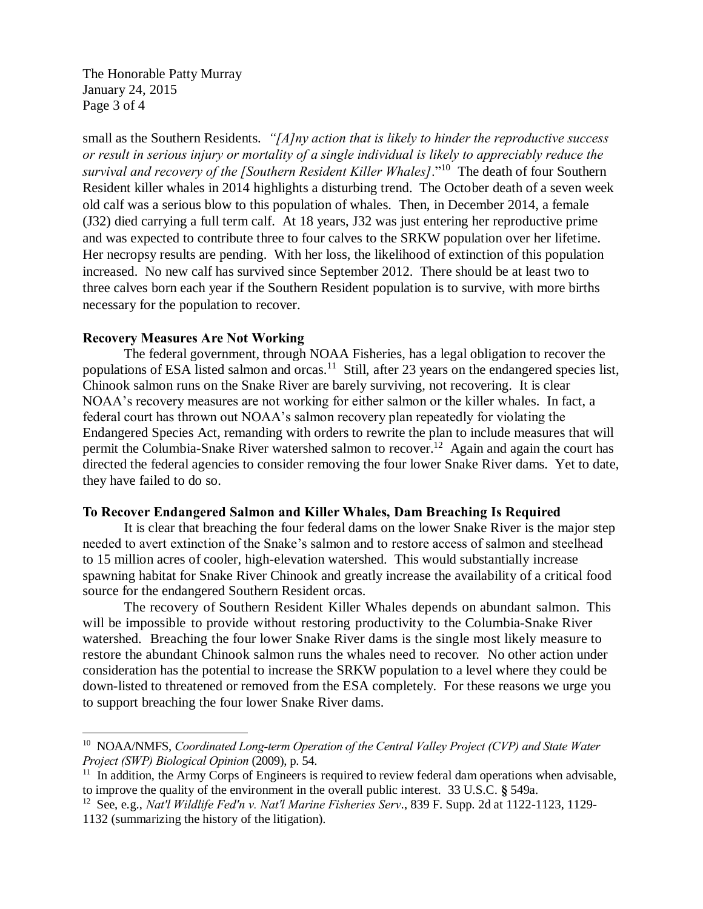The Honorable Patty Murray January 24, 2015 Page 3 of 4

small as the Southern Residents. *"[A]ny action that is likely to hinder the reproductive success or result in serious injury or mortality of a single individual is likely to appreciably reduce the survival and recovery of the [Southern Resident Killer Whales]*."<sup>10</sup> The death of four Southern Resident killer whales in 2014 highlights a disturbing trend. The October death of a seven week old calf was a serious blow to this population of whales. Then, in December 2014, a female (J32) died carrying a full term calf. At 18 years, J32 was just entering her reproductive prime and was expected to contribute three to four calves to the SRKW population over her lifetime. Her necropsy results are pending. With her loss, the likelihood of extinction of this population increased. No new calf has survived since September 2012. There should be at least two to three calves born each year if the Southern Resident population is to survive, with more births necessary for the population to recover.

## **Recovery Measures Are Not Working**

The federal government, through NOAA Fisheries, has a legal obligation to recover the populations of ESA listed salmon and orcas.<sup>11</sup> Still, after 23 years on the endangered species list, Chinook salmon runs on the Snake River are barely surviving, not recovering. It is clear NOAA's recovery measures are not working for either salmon or the killer whales. In fact, a federal court has thrown out NOAA's salmon recovery plan repeatedly for violating the Endangered Species Act, remanding with orders to rewrite the plan to include measures that will permit the Columbia-Snake River watershed salmon to recover.<sup>12</sup> Again and again the court has directed the federal agencies to consider removing the four lower Snake River dams. Yet to date, they have failed to do so.

## **To Recover Endangered Salmon and Killer Whales, Dam Breaching Is Required**

It is clear that breaching the four federal dams on the lower Snake River is the major step needed to avert extinction of the Snake's salmon and to restore access of salmon and steelhead to 15 million acres of cooler, high-elevation watershed. This would substantially increase spawning habitat for Snake River Chinook and greatly increase the availability of a critical food source for the endangered Southern Resident orcas.

The recovery of Southern Resident Killer Whales depends on abundant salmon. This will be impossible to provide without restoring productivity to the Columbia-Snake River watershed. Breaching the four lower Snake River dams is the single most likely measure to restore the abundant Chinook salmon runs the whales need to recover. No other action under consideration has the potential to increase the SRKW population to a level where they could be down-listed to threatened or removed from the ESA completely. For these reasons we urge you to support breaching the four lower Snake River dams.

 $\overline{a}$ 

<sup>&</sup>lt;sup>10</sup> NOAA/NMFS, *Coordinated Long-term Operation of the Central Valley Project (CVP) and State Water Project (SWP) Biological Opinion* (2009), p. 54.

 $11$  In addition, the Army Corps of Engineers is required to review federal dam operations when advisable, to improve the quality of the environment in the overall public interest. 33 U.S.C. **§** 549a.

<sup>12</sup> See, e.g., *Nat'l Wildlife Fed'n v. Nat'l Marine Fisheries Serv*., 839 F. Supp. 2d at 1122-1123, 1129-

<sup>1132 (</sup>summarizing the history of the litigation).